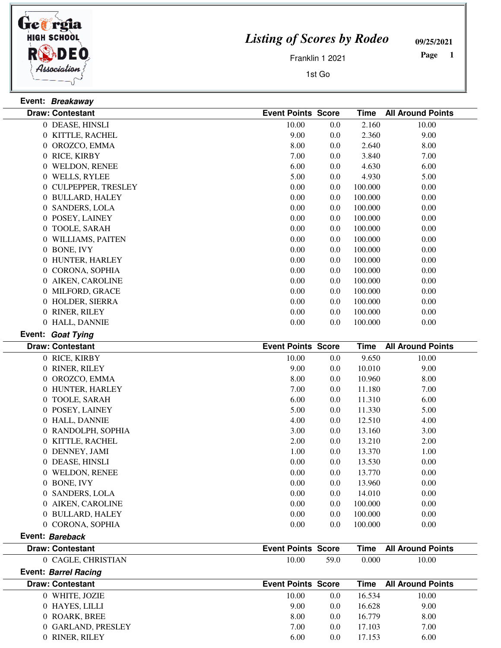

**Event: Breakaway**

## *Listing of Scores by Rodeo*

**09/25/2021**

Franklin 1 2021

1st Go

 **Page** 

| <b>Draw: Contestant</b> | <b>Event Points Score</b> |     | <b>Time</b> | <b>All Around Points</b> |
|-------------------------|---------------------------|-----|-------------|--------------------------|
| 0 DEASE, HINSLI         | 10.00                     | 0.0 | 2.160       | 10.00                    |
| 0 KITTLE, RACHEL        | 9.00                      | 0.0 | 2.360       | 9.00                     |
| 0 OROZCO, EMMA          | 8.00                      | 0.0 | 2.640       | 8.00                     |
| 0 RICE, KIRBY           | 7.00                      | 0.0 | 3.840       | 7.00                     |
| 0 WELDON, RENEE         | 6.00                      | 0.0 | 4.630       | 6.00                     |
| 0 WELLS, RYLEE          | 5.00                      | 0.0 | 4.930       | 5.00                     |
| 0 CULPEPPER, TRESLEY    | $0.00\,$                  | 0.0 | 100.000     | 0.00                     |
| 0 BULLARD, HALEY        | 0.00                      | 0.0 | 100.000     | 0.00                     |
| 0 SANDERS, LOLA         | 0.00                      | 0.0 | 100.000     | 0.00                     |
| 0 POSEY, LAINEY         | 0.00                      | 0.0 | 100.000     | 0.00                     |
| 0 TOOLE, SARAH          | 0.00                      | 0.0 | 100.000     | 0.00                     |
| 0 WILLIAMS, PAITEN      | 0.00                      | 0.0 | 100.000     | 0.00                     |
| 0 BONE, IVY             | 0.00                      | 0.0 | 100.000     | 0.00                     |
| 0 HUNTER, HARLEY        | 0.00                      | 0.0 | 100.000     | 0.00                     |
| 0 CORONA, SOPHIA        | 0.00                      | 0.0 | 100.000     | 0.00                     |
| 0 AIKEN, CAROLINE       | 0.00                      | 0.0 | 100.000     | 0.00                     |
| 0 MILFORD, GRACE        | 0.00                      | 0.0 | 100.000     | 0.00                     |
| 0 HOLDER, SIERRA        | 0.00                      | 0.0 | 100.000     | 0.00                     |
| 0 RINER, RILEY          | 0.00                      | 0.0 | 100.000     | 0.00                     |
| 0 HALL, DANNIE          | 0.00                      | 0.0 | 100.000     | 0.00                     |
| Event: Goat Tying       |                           |     |             |                          |
|                         |                           |     |             |                          |
| <b>Draw: Contestant</b> | <b>Event Points Score</b> |     | <b>Time</b> | <b>All Around Points</b> |
| 0 RICE, KIRBY           | 10.00                     | 0.0 | 9.650       | 10.00                    |
| 0 RINER, RILEY          | 9.00                      | 0.0 | 10.010      | 9.00                     |
| 0 OROZCO, EMMA          | 8.00                      | 0.0 | 10.960      | 8.00                     |
| 0 HUNTER, HARLEY        | 7.00                      | 0.0 | 11.180      | 7.00                     |
| 0 TOOLE, SARAH          | 6.00                      | 0.0 | 11.310      | 6.00                     |
| 0 POSEY, LAINEY         | 5.00                      | 0.0 | 11.330      | 5.00                     |
| 0 HALL, DANNIE          | 4.00                      | 0.0 | 12.510      | 4.00                     |
| 0 RANDOLPH, SOPHIA      | 3.00                      | 0.0 | 13.160      | 3.00                     |
| 0 KITTLE, RACHEL        | 2.00                      | 0.0 | 13.210      | 2.00                     |
| 0 DENNEY, JAMI          | 1.00                      | 0.0 | 13.370      | 1.00                     |
| 0 DEASE, HINSLI         | 0.00                      | 0.0 | 13.530      | 0.00                     |
| 0 WELDON, RENEE         | 0.00                      | 0.0 | 13.770      | 0.00                     |
| 0 BONE, IVY             | 0.00                      | 0.0 | 13.960      | 0.00                     |
| 0 SANDERS, LOLA         | 0.00                      | 0.0 | 14.010      | 0.00                     |
| 0 AIKEN, CAROLINE       | 0.00                      | 0.0 | 100.000     | 0.00                     |
| 0 BULLARD, HALEY        | 0.00                      | 0.0 | 100.000     | 0.00                     |
| 0 CORONA, SOPHIA        | 0.00                      | 0.0 | 100.000     | 0.00                     |
| Event: Bareback         |                           |     |             |                          |
| <b>Draw: Contestant</b> | <b>Event Points Score</b> |     | <b>Time</b> | <b>All Around Points</b> |

**Event: Barrel Racing**

| <b>Draw: Contestant</b> | <b>Event Points Score</b> |     | Time   | <b>All Around Points</b> |
|-------------------------|---------------------------|-----|--------|--------------------------|
| 0 WHITE, JOZIE          | 10.00                     | 0.0 | 16.534 | 10.00                    |
| 0 HAYES, LILLI          | 9.00                      | 0.0 | 16.628 | 9.00                     |
| 0 ROARK, BREE           | 8.00                      | 0.0 | 16.779 | 8.00                     |
| 0 GARLAND, PRESLEY      | 7.00                      | 0.0 | 17.103 | 7.00                     |
| 0 RINER, RILEY          | 6.00                      | 0.0 | 17.153 | 6.00                     |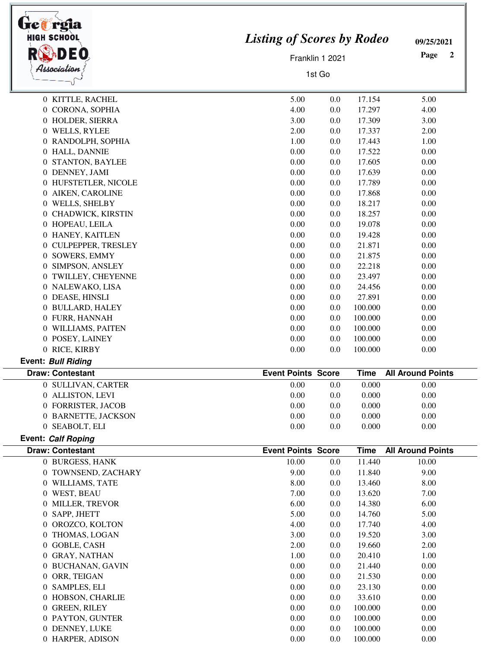| <b>HIGH SCHOOL</b>        | <b>Listing of Scores by Rodeo</b> |                 |             |                          |
|---------------------------|-----------------------------------|-----------------|-------------|--------------------------|
|                           |                                   | Franklin 1 2021 |             | Page<br>2                |
| Association<br>1st Go     |                                   |                 |             |                          |
| 0 KITTLE, RACHEL          | 5.00                              | 0.0             | 17.154      | 5.00                     |
| 0 CORONA, SOPHIA          | 4.00                              | 0.0             | 17.297      | 4.00                     |
| 0 HOLDER, SIERRA          | 3.00                              | 0.0             | 17.309      | 3.00                     |
| 0 WELLS, RYLEE            | 2.00                              | 0.0             | 17.337      | 2.00                     |
| 0 RANDOLPH, SOPHIA        | 1.00                              | 0.0             | 17.443      | 1.00                     |
| 0 HALL, DANNIE            | 0.00                              | 0.0             | 17.522      | 0.00                     |
| 0 STANTON, BAYLEE         | 0.00                              | 0.0             | 17.605      | 0.00                     |
| 0 DENNEY, JAMI            | 0.00                              | 0.0             | 17.639      | 0.00                     |
| 0 HUFSTETLER, NICOLE      | 0.00                              | 0.0             | 17.789      | 0.00                     |
| 0 AIKEN, CAROLINE         | 0.00                              | 0.0             | 17.868      | 0.00                     |
| 0 WELLS, SHELBY           | 0.00                              | 0.0             | 18.217      | 0.00                     |
| 0 CHADWICK, KIRSTIN       | 0.00                              | 0.0             | 18.257      | 0.00                     |
| 0 HOPEAU, LEILA           | 0.00                              | 0.0             | 19.078      | 0.00                     |
| 0 HANEY, KAITLEN          | 0.00                              | 0.0             | 19.428      | 0.00                     |
| 0 CULPEPPER, TRESLEY      | 0.00                              | 0.0             | 21.871      | 0.00                     |
| 0 SOWERS, EMMY            | 0.00                              | 0.0             | 21.875      | 0.00                     |
| 0 SIMPSON, ANSLEY         | 0.00                              | 0.0             | 22.218      | 0.00                     |
| 0 TWILLEY, CHEYENNE       | 0.00                              | 0.0             | 23.497      | 0.00                     |
| 0 NALEWAKO, LISA          | 0.00                              | 0.0             | 24.456      | 0.00                     |
| 0 DEASE, HINSLI           | 0.00                              | 0.0             | 27.891      | 0.00                     |
| 0 BULLARD, HALEY          | 0.00                              | 0.0             | 100.000     | 0.00                     |
| 0 FURR, HANNAH            | 0.00                              | 0.0             | 100.000     | 0.00                     |
| 0 WILLIAMS, PAITEN        | 0.00                              | 0.0             | 100.000     | 0.00                     |
| 0 POSEY, LAINEY           | 0.00                              | 0.0             | 100.000     | 0.00                     |
| 0 RICE, KIRBY             | 0.00                              | 0.0             | 100.000     | 0.00                     |
| <b>Event: Bull Riding</b> |                                   |                 |             |                          |
| <b>Draw: Contestant</b>   | <b>Event Points Score</b>         |                 | <b>Time</b> | <b>All Around Points</b> |
| 0 SULLIVAN, CARTER        | 0.00                              | 0.0             | 0.000       | 0.00                     |
| 0 ALLISTON, LEVI          | 0.00                              | 0.0             | 0.000       | 0.00                     |
| 0 FORRISTER, JACOB        | 0.00                              | 0.0             | 0.000       | 0.00                     |
| 0 BARNETTE, JACKSON       | 0.00                              | 0.0             | 0.000       | 0.00                     |
| 0 SEABOLT, ELI            | 0.00                              | 0.0             | 0.000       | 0.00                     |
| Event: Calf Roping        |                                   |                 |             |                          |
| <b>Draw: Contestant</b>   | <b>Event Points Score</b>         |                 | <b>Time</b> | <b>All Around Points</b> |
| 0 BURGESS, HANK           | 10.00                             | 0.0             | 11.440      | 10.00                    |
| 0 TOWNSEND, ZACHARY       | 9.00                              | 0.0             | 11.840      | 9.00                     |
| 0 WILLIAMS, TATE          | 8.00                              | 0.0             | 13.460      | 8.00                     |
| 0 WEST, BEAU              | 7.00                              | 0.0             | 13.620      | 7.00                     |
| 0 MILLER, TREVOR          | 6.00                              | 0.0             | 14.380      | 6.00                     |
| 0 SAPP, JHETT             | 5.00                              | 0.0             | 14.760      | 5.00                     |
| 0 OROZCO, KOLTON          | 4.00                              | 0.0             | 17.740      | 4.00                     |
| 0 THOMAS, LOGAN           | 3.00                              | 0.0             | 19.520      | 3.00                     |
| 0 GOBLE, CASH             | 2.00                              | 0.0             | 19.660      | 2.00                     |
| 0 GRAY, NATHAN            | 1.00                              | 0.0             | 20.410      | 1.00                     |
| 0 BUCHANAN, GAVIN         | 0.00                              | 0.0             | 21.440      | 0.00                     |
| 0 ORR, TEIGAN             | 0.00                              | 0.0             | 21.530      | 0.00                     |
| 0 SAMPLES, ELI            | 0.00                              | 0.0             | 23.130      | 0.00                     |
| 0 HOBSON, CHARLIE         | 0.00                              | 0.0             | 33.610      | 0.00                     |
| 0 GREEN, RILEY            | 0.00                              | 0.0             | 100.000     | 0.00                     |
| 0 PAYTON, GUNTER          | 0.00                              | 0.0             | 100.000     | 0.00                     |
| 0 DENNEY, LUKE            | 0.00                              | 0.0             | 100.000     | 0.00                     |
| 0 HARPER, ADISON          | 0.00                              | 0.0             | 100.000     | 0.00                     |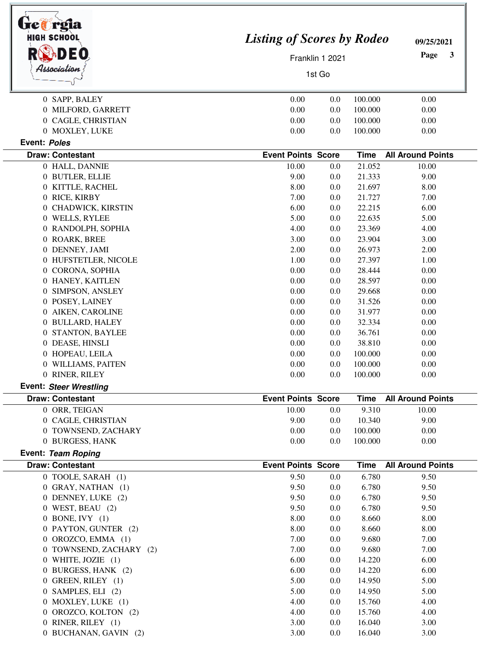| tre@rgia<br><b>HIGH SCHOOL</b> |                           |                                   |                | 09/25/2021               |  |
|--------------------------------|---------------------------|-----------------------------------|----------------|--------------------------|--|
| DEO                            |                           | <b>Listing of Scores by Rodeo</b> |                |                          |  |
|                                |                           | Franklin 1 2021<br>1st Go         |                |                          |  |
| Association                    |                           |                                   |                |                          |  |
| 0 SAPP, BALEY                  | 0.00                      | 0.0                               | 100.000        | 0.00                     |  |
| 0 MILFORD, GARRETT             | 0.00                      | 0.0                               | 100.000        | 0.00                     |  |
| 0 CAGLE, CHRISTIAN             | 0.00                      | 0.0                               | 100.000        | 0.00                     |  |
| 0 MOXLEY, LUKE                 | 0.00                      | 0.0                               | 100.000        | 0.00                     |  |
| Event: Poles                   |                           |                                   |                |                          |  |
| <b>Draw: Contestant</b>        | <b>Event Points Score</b> |                                   | <b>Time</b>    | <b>All Around Points</b> |  |
| 0 HALL, DANNIE                 | 10.00                     | 0.0                               | 21.052         | 10.00                    |  |
| 0 BUTLER, ELLIE                | 9.00                      | 0.0                               | 21.333         | 9.00                     |  |
| 0 KITTLE, RACHEL               | 8.00                      | 0.0                               | 21.697         | 8.00                     |  |
| 0 RICE, KIRBY                  | 7.00                      | 0.0                               | 21.727         | 7.00                     |  |
| 0 CHADWICK, KIRSTIN            | 6.00                      | 0.0                               | 22.215         | 6.00                     |  |
| 0 WELLS, RYLEE                 | 5.00                      | 0.0                               | 22.635         | 5.00                     |  |
| 0 RANDOLPH, SOPHIA             | 4.00                      | 0.0                               | 23.369         | 4.00                     |  |
| 0 ROARK, BREE                  | 3.00                      | 0.0                               | 23.904         | 3.00                     |  |
| 0 DENNEY, JAMI                 | 2.00                      | 0.0                               | 26.973         | 2.00                     |  |
| 0 HUFSTETLER, NICOLE           | 1.00                      | 0.0                               | 27.397         | 1.00                     |  |
| 0 CORONA, SOPHIA               | 0.00                      | 0.0                               | 28.444         | 0.00                     |  |
| 0 HANEY, KAITLEN               | 0.00                      | 0.0                               | 28.597         | 0.00                     |  |
| 0 SIMPSON, ANSLEY              | 0.00                      | 0.0                               | 29.668         | 0.00                     |  |
| 0 POSEY, LAINEY                | 0.00                      | 0.0                               | 31.526         | 0.00                     |  |
| 0 AIKEN, CAROLINE              | 0.00                      | 0.0                               | 31.977         | 0.00                     |  |
| 0 BULLARD, HALEY               | 0.00                      | 0.0                               | 32.334         | 0.00                     |  |
| 0 STANTON, BAYLEE              | 0.00                      | 0.0                               | 36.761         | 0.00                     |  |
| 0 DEASE, HINSLI                | 0.00                      | 0.0                               | 38.810         | 0.00                     |  |
| 0 HOPEAU, LEILA                | 0.00                      | 0.0                               | 100.000        | 0.00                     |  |
| 0 WILLIAMS, PAITEN             | $0.00\,$                  | 0.0                               | 100.000        | $0.00\,$                 |  |
| 0 RINER, RILEY                 | 0.00                      | 0.0                               | 100.000        | 0.00                     |  |
| <b>Event: Steer Wrestling</b>  |                           |                                   |                |                          |  |
| <b>Draw: Contestant</b>        | <b>Event Points Score</b> |                                   | <b>Time</b>    | <b>All Around Points</b> |  |
| 0 ORR, TEIGAN                  | 10.00                     | 0.0                               | 9.310          | 10.00                    |  |
| 0 CAGLE, CHRISTIAN             | 9.00                      | 0.0                               | 10.340         | 9.00                     |  |
| 0 TOWNSEND, ZACHARY            | 0.00                      | 0.0                               | 100.000        | 0.00                     |  |
| 0 BURGESS, HANK                | 0.00                      | 0.0                               | 100.000        | 0.00                     |  |
| Event: Team Roping             |                           |                                   |                |                          |  |
| <b>Draw: Contestant</b>        | <b>Event Points Score</b> |                                   | <b>Time</b>    | <b>All Around Points</b> |  |
| 0 TOOLE, SARAH (1)             | 9.50                      | 0.0                               | 6.780          | 9.50                     |  |
| 0 GRAY, NATHAN (1)             | 9.50                      | 0.0                               | 6.780          | 9.50                     |  |
| 0 DENNEY, LUKE (2)             | 9.50                      | 0.0                               | 6.780          | 9.50                     |  |
| $0$ WEST DEALL $(2)$           | 0.50                      | Λ Λ                               | $\epsilon$ 700 | 0.50                     |  |

| 0 DENNEY, LUKE (2)      | 9.50 | 0.0              | 6.780  | 9.50 |
|-------------------------|------|------------------|--------|------|
| $0$ WEST, BEAU $(2)$    | 9.50 | 0.0              | 6.780  | 9.50 |
| $0$ BONE, IVY $(1)$     | 8.00 | 0.0              | 8.660  | 8.00 |
| 0 PAYTON, GUNTER (2)    | 8.00 | 0.0              | 8.660  | 8.00 |
| $0$ OROZCO, EMMA $(1)$  | 7.00 | 0.0              | 9.680  | 7.00 |
| 0 TOWNSEND, ZACHARY (2) | 7.00 | 0.0 <sub>1</sub> | 9.680  | 7.00 |
| 0 WHITE, JOZIE $(1)$    | 6.00 | 0.0              | 14.220 | 6.00 |
| 0 BURGESS, HANK (2)     | 6.00 | 0.0              | 14.220 | 6.00 |
| 0 GREEN, RILEY (1)      | 5.00 | 0.0              | 14.950 | 5.00 |
| $0$ SAMPLES, ELI $(2)$  | 5.00 | 0.0              | 14.950 | 5.00 |
| 0 MOXLEY, LUKE (1)      | 4.00 | 0.0              | 15.760 | 4.00 |
| 0 OROZCO, KOLTON (2)    | 4.00 | 0.0              | 15.760 | 4.00 |
| 0 RINER, RILEY (1)      | 3.00 | 0.0              | 16.040 | 3.00 |
|                         |      |                  |        |      |

0 BUCHANAN, GAVIN (2) 3.00 3.00 3.00 3.00